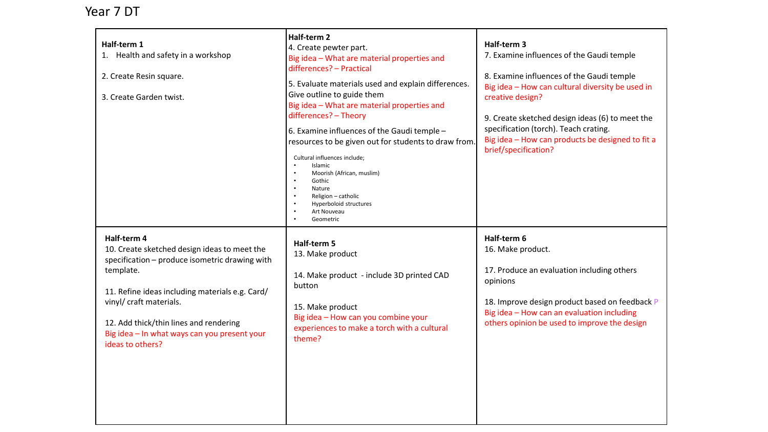## Year 7 DT

| Half-term 1<br>1. Health and safety in a workshop<br>2. Create Resin square.<br>3. Create Garden twist.                                                                                                                                                                                                                | Half-term 2<br>4. Create pewter part.<br>Big idea - What are material properties and<br>differences? - Practical<br>5. Evaluate materials used and explain differences.<br>Give outline to guide them<br>Big idea - What are material properties and<br>differences? - Theory<br>6. Examine influences of the Gaudi temple -<br>resources to be given out for students to draw from.<br>Cultural influences include;<br>Islamic<br>Moorish (African, muslim)<br>Gothic<br>Nature<br>Religion - catholic<br>Hyperboloid structures<br>Art Nouveau<br>Geometric | Half-term 3<br>7. Examine influences of the Gaudi temple<br>8. Examine influences of the Gaudi temple<br>Big idea - How can cultural diversity be used in<br>creative design?<br>9. Create sketched design ideas (6) to meet the<br>specification (torch). Teach crating.<br>Big idea - How can products be designed to fit a<br>brief/specification? |
|------------------------------------------------------------------------------------------------------------------------------------------------------------------------------------------------------------------------------------------------------------------------------------------------------------------------|---------------------------------------------------------------------------------------------------------------------------------------------------------------------------------------------------------------------------------------------------------------------------------------------------------------------------------------------------------------------------------------------------------------------------------------------------------------------------------------------------------------------------------------------------------------|-------------------------------------------------------------------------------------------------------------------------------------------------------------------------------------------------------------------------------------------------------------------------------------------------------------------------------------------------------|
| Half-term 4<br>10. Create sketched design ideas to meet the<br>specification - produce isometric drawing with<br>template.<br>11. Refine ideas including materials e.g. Card/<br>vinyl/ craft materials.<br>12. Add thick/thin lines and rendering<br>Big idea - In what ways can you present your<br>ideas to others? | Half-term 5<br>13. Make product<br>14. Make product - include 3D printed CAD<br>button<br>15. Make product<br>Big idea - How can you combine your<br>experiences to make a torch with a cultural<br>theme?                                                                                                                                                                                                                                                                                                                                                    | Half-term 6<br>16. Make product.<br>17. Produce an evaluation including others<br>opinions<br>18. Improve design product based on feedback P<br>Big idea - How can an evaluation including<br>others opinion be used to improve the design                                                                                                            |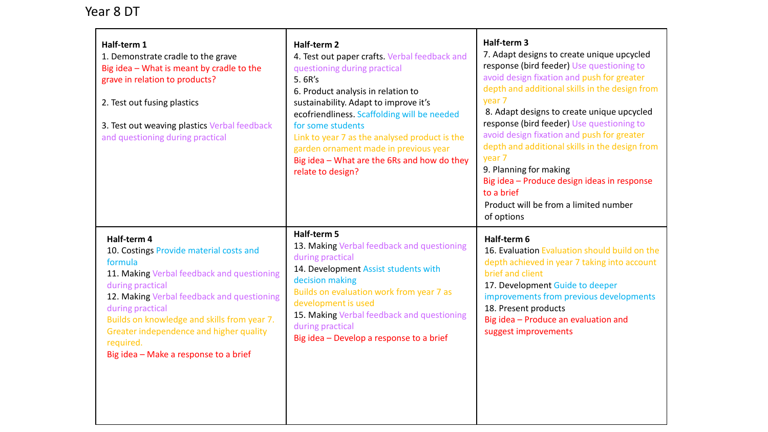## Year 8 DT

| Half-term 1<br>1. Demonstrate cradle to the grave<br>Big idea - What is meant by cradle to the<br>grave in relation to products?<br>2. Test out fusing plastics<br>3. Test out weaving plastics Verbal feedback<br>and questioning during practical                                                                                                   | Half-term 2<br>4. Test out paper crafts. Verbal feedback and<br>questioning during practical<br>5.6R's<br>6. Product analysis in relation to<br>sustainability. Adapt to improve it's<br>ecofriendliness. Scaffolding will be needed<br>for some students<br>Link to year 7 as the analysed product is the<br>garden ornament made in previous year<br>Big idea - What are the 6Rs and how do they<br>relate to design? | Half-term 3<br>7. Adapt designs to create unique upcycled<br>response (bird feeder) Use questioning to<br>avoid design fixation and push for greater<br>depth and additional skills in the design from<br>year 7<br>8. Adapt designs to create unique upcycled<br>response (bird feeder) Use questioning to<br>avoid design fixation and push for greater<br>depth and additional skills in the design from<br>year 7<br>9. Planning for making<br>Big idea - Produce design ideas in response<br>to a brief<br>Product will be from a limited number<br>of options |
|-------------------------------------------------------------------------------------------------------------------------------------------------------------------------------------------------------------------------------------------------------------------------------------------------------------------------------------------------------|-------------------------------------------------------------------------------------------------------------------------------------------------------------------------------------------------------------------------------------------------------------------------------------------------------------------------------------------------------------------------------------------------------------------------|---------------------------------------------------------------------------------------------------------------------------------------------------------------------------------------------------------------------------------------------------------------------------------------------------------------------------------------------------------------------------------------------------------------------------------------------------------------------------------------------------------------------------------------------------------------------|
| Half-term 4<br>10. Costings Provide material costs and<br>formula<br>11. Making Verbal feedback and questioning<br>during practical<br>12. Making Verbal feedback and questioning<br>during practical<br>Builds on knowledge and skills from year 7.<br>Greater independence and higher quality<br>required.<br>Big idea - Make a response to a brief | Half-term 5<br>13. Making Verbal feedback and questioning<br>during practical<br>14. Development Assist students with<br>decision making<br>Builds on evaluation work from year 7 as<br>development is used<br>15. Making Verbal feedback and questioning<br>during practical<br>Big idea - Develop a response to a brief                                                                                               | Half-term 6<br>16. Evaluation Evaluation should build on the<br>depth achieved in year 7 taking into account<br>brief and client<br>17. Development Guide to deeper<br>improvements from previous developments<br>18. Present products<br>Big idea - Produce an evaluation and<br>suggest improvements                                                                                                                                                                                                                                                              |